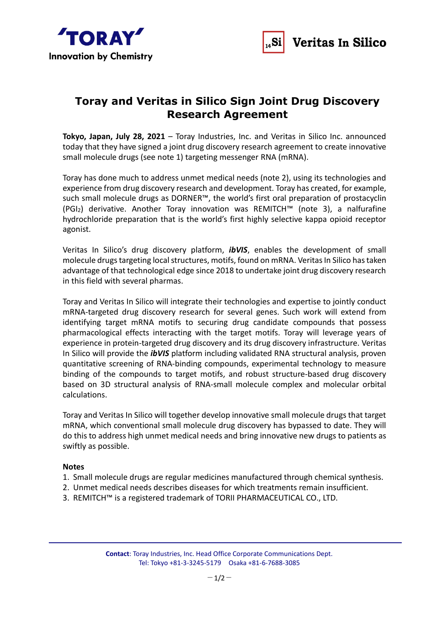



# **Toray and Veritas in Silico Sign Joint Drug Discovery Research Agreement**

**Tokyo, Japan, July 28, 2021** – Toray Industries, Inc. and Veritas in Silico Inc. announced today that they have signed a joint drug discovery research agreement to create innovative small molecule drugs (see note 1) targeting messenger RNA (mRNA).

Toray has done much to address unmet medical needs (note 2), using its technologies and experience from drug discovery research and development. Toray has created, for example, such small molecule drugs as DORNER™, the world's first oral preparation of prostacyclin (PGI2) derivative. Another Toray innovation was REMITCH™ (note 3), a nalfurafine hydrochloride preparation that is the world's first highly selective kappa opioid receptor agonist.

Veritas In Silico's drug discovery platform, *ibVIS*, enables the development of small molecule drugs targeting local structures, motifs, found on mRNA. Veritas In Silico has taken advantage of that technological edge since 2018 to undertake joint drug discovery research in this field with several pharmas.

Toray and Veritas In Silico will integrate their technologies and expertise to jointly conduct mRNA-targeted drug discovery research for several genes. Such work will extend from identifying target mRNA motifs to securing drug candidate compounds that possess pharmacological effects interacting with the target motifs. Toray will leverage years of experience in protein-targeted drug discovery and its drug discovery infrastructure. Veritas In Silico will provide the *ibVIS* platform including validated RNA structural analysis, proven quantitative screening of RNA-binding compounds, experimental technology to measure binding of the compounds to target motifs, and robust structure-based drug discovery based on 3D structural analysis of RNA-small molecule complex and molecular orbital calculations.

Toray and Veritas In Silico will together develop innovative small molecule drugs that target mRNA, which conventional small molecule drug discovery has bypassed to date. They will do this to address high unmet medical needs and bring innovative new drugs to patients as swiftly as possible.

# **Notes**

- 1. Small molecule drugs are regular medicines manufactured through chemical synthesis.
- 2. Unmet medical needs describes diseases for which treatments remain insufficient.
- 3. REMITCH™ is a registered trademark of TORII PHARMACEUTICAL CO., LTD.